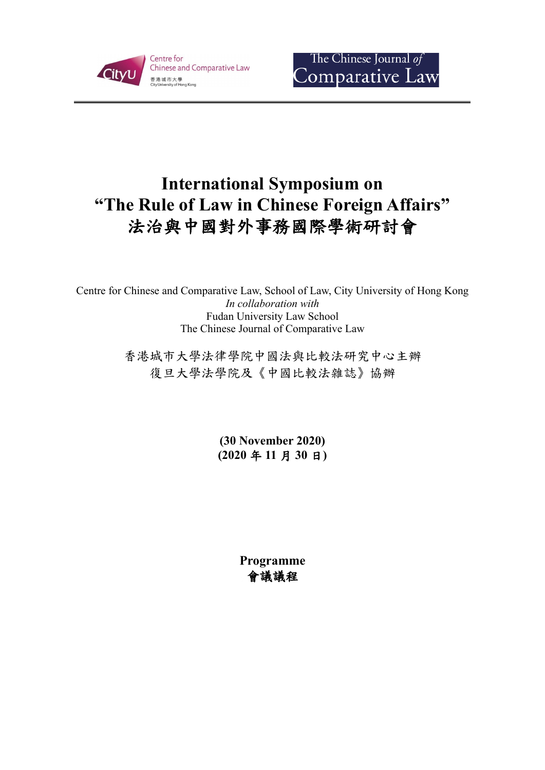



# **International Symposium on "The Rule of Law in Chinese Foreign Affairs"** 法治與中國對外事務國際學術研討會

Centre for Chinese and Comparative Law, School of Law, City University of Hong Kong *In collaboration with* Fudan University Law School The Chinese Journal of Comparative Law

> 香港城市大學法律學院中國法與比較法研究中心主辦 復旦大學法學院及《中國比較法雜誌》協辦

> > **(30 November 2020) (2020** 年 **11** 月 **30** 日**)**

> > > **Programme** 會議議程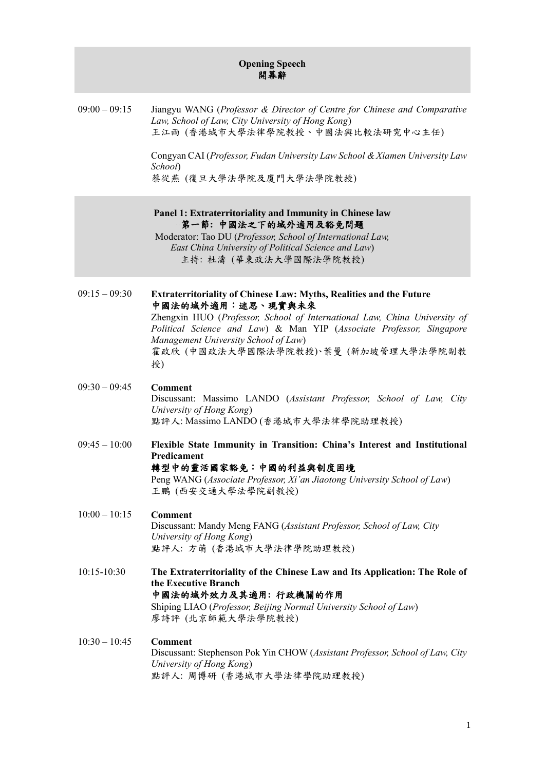# **Opening Speech** 開幕辭

09:00 – 09:15 Jiangyu WANG (*Professor & Director of Centre for Chinese and Comparative Law, School of Law, City University of Hong Kong*) 王江雨 (香港城市大學法律學院教授、中國法與比較法研究中心主任)

> Congyan CAI (*Professor, Fudan University Law School & Xiamen University Law School*) 蔡從燕 (復旦大學法學院及廈門大學法學院教授)

### **Panel 1: Extraterritoriality and Immunity in Chinese law** 第一節**:** 中國法之下的域外適用及豁免問題

Moderator: Tao DU (*Professor, School of International Law, East China University of Political Science and Law*) 主持: 杜濤 (華東政法大學國際法學院教授)

09:15 – 09:30 **Extraterritoriality of Chinese Law: Myths, Realities and the Future** 中國法的域外適用:迷思、現實與未來 Zhengxin HUO (*Professor, School of International Law, China University of Political Science and Law*) & Man YIP (*Associate Professor, Singapore Management University School of Law*) 霍政欣 (中國政法大學國際法學院教授)、葉曼 (新加坡管理大學法學院副教 授) 09:30 – 09:45 **Comment** Discussant: Massimo LANDO (*Assistant Professor, School of Law, City* 

*University of Hong Kong*) 點評人: Massimo LANDO (香港城市大學法律學院助理教授)

- 09:45 10:00 **Flexible State Immunity in Transition: China's Interest and Institutional Predicament** 轉型中的靈活國家豁免:中國的利益與制度困境 Peng WANG (*Associate Professor, Xi'an Jiaotong University School of Law*) 王鵬 (西安交通大學法學院副教授)
- 10:00 10:15 **Comment** Discussant: Mandy Meng FANG (*Assistant Professor, School of Law, City University of Hong Kong*) 點評人: 方萌 (香港城市大學法律學院助理教授)
- 10:15-10:30 **The Extraterritoriality of the Chinese Law and Its Application: The Role of**

#### **the Executive Branch** 中國法的域外效力及其適用**:** 行政機關的作用 Shiping LIAO (*Professor, Beijing Normal University School of Law*) 廖詩評 (北京師範大學法學院教授)

#### 10:30 – 10:45 **Comment**

Discussant: Stephenson Pok Yin CHOW (*Assistant Professor, School of Law, City University of Hong Kong*) 點評人: 周博研 (香港城市大學法律學院助理教授)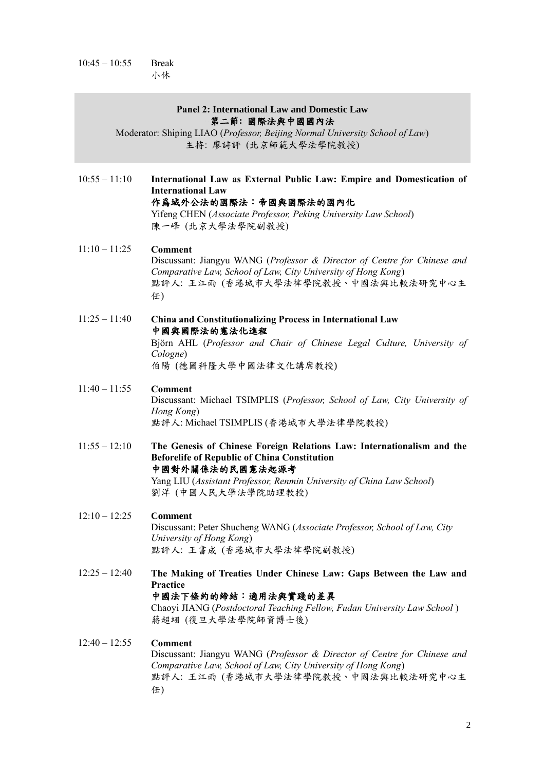$10:45 - 10:55$  Break 小休

#### **Panel 2: International Law and Domestic Law** 第二節**:** 國際法與中國國內法

Moderator: Shiping LIAO (*Professor, Beijing Normal University School of Law*) 主持: 廖詩評 (北京師範大學法學院教授)

10:55 – 11:10 **International Law as External Public Law: Empire and Domestication of International Law** 作爲域外公法的國際法:帝國與國際法的國內化 Yifeng CHEN (*Associate Professor, Peking University Law School*) 陳一峰 (北京大學法學院副教授)

11:10 – 11:25 **Comment** Discussant: Jiangyu WANG (*Professor & Director of Centre for Chinese and Comparative Law, School of Law, City University of Hong Kong*) 點評人: 王江雨 (香港城市大學法律學院教授、中國法與比較法研究中心主 任)

11:25 – 11:40 **China and Constitutionalizing Process in International Law** 中國與國際法的憲法化進程 Björn AHL (*Professor and Chair of Chinese Legal Culture, University of Cologne*)

伯陽 (德國科隆大學中國法律文化講席教授)

- 11:40 11:55 **Comment** Discussant: Michael TSIMPLIS (*Professor, School of Law, City University of Hong Kong*) 點評人: Michael TSIMPLIS (香港城市大學法律學院教授)
- 11:55 12:10 **The Genesis of Chinese Foreign Relations Law: Internationalism and the Beforelife of Republic of China Constitution** 中國對外關係法的民國憲法起源考 Yang LIU (*Assistant Professor, Renmin University of China Law School*)

劉洋 (中國人民大學法學院助理教授)

- 12:10 12:25 **Comment** Discussant: Peter Shucheng WANG (*Associate Professor, School of Law, City University of Hong Kong*) 點評人: 王書成 (香港城市大學法律學院副教授)
- 12:25 12:40 **The Making of Treaties Under Chinese Law: Gaps Between the Law and**

#### **Practice**

# 中國法下條約的締結:適用法與實踐的差異

Chaoyi JIANG (*Postdoctoral Teaching Fellow, Fudan University Law School* ) 蔣超翊 (復旦大學法學院師資博士後)

12:40 – 12:55 **Comment**

Discussant: Jiangyu WANG (*Professor & Director of Centre for Chinese and Comparative Law, School of Law, City University of Hong Kong*) 點評人: 王江雨 (香港城市大學法律學院教授、中國法與比較法研究中心主 任)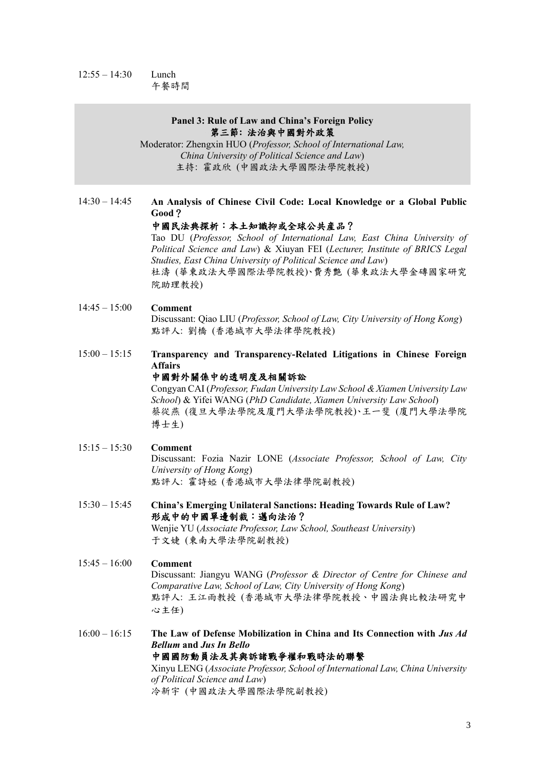#### 12:55 – 14:30 Lunch 午餐時間

#### **Panel 3: Rule of Law and China's Foreign Policy** 第三節**:** 法治與中國對外政策

Moderator: Zhengxin HUO (*Professor, School of International Law, China University of Political Science and Law*) 主持: 霍政欣 (中國政法大學國際法學院教授)

# 14:30 – 14:45 **An Analysis of Chinese Civil Code: Local Knowledge or a Global Public Good**?

#### 中國民法典探析:本土知識抑或全球公共産品?

Tao DU (*Professor, School of International Law, East China University of Political Science and Law*) & Xiuyan FEI (*Lecturer, Institute of BRICS Legal Studies, East China University of Political Science and Law*) 杜濤 (華東政法大學國際法學院教授)、費秀艶 (華東政法大學金磚國家研究 院助理教授)

#### 15:15 – 15:30 **Comment** Discussant: Fozia Nazir LONE (*Associate Professor, School of Law, City University of Hong Kong*) 點評人: 霍詩婭 (香港城市大學法律學院副教授)

#### 14:45 – 15:00 **Comment** Discussant: Qiao LIU (*Professor, School of Law, City University of Hong Kong*) 點評人: 劉橋 (香港城市大學法律學院教授)

15:00 – 15:15 **Transparency and Transparency-Related Litigations in Chinese Foreign Affairs**

#### 中國對外關係中的透明度及相關訴訟

Congyan CAI (*Professor, Fudan University Law School & Xiamen University Law School*) & Yifei WANG (*PhD Candidate, Xiamen University Law School*) 蔡從燕 (復旦大學法學院及廈門大學法學院教授)、王一斐 (廈門大學法學院 博士生)

15:30 – 15:45 **China's Emerging Unilateral Sanctions: Heading Towards Rule of Law?** 形成中的中國單邊制裁:邁向法治? Wenjie YU (*Associate Professor, Law School, Southeast University*) 于文婕 (東南大學法學院副教授)

#### 15:45 – 16:00 **Comment**

Discussant: Jiangyu WANG (*Professor & Director of Centre for Chinese and* 

*Comparative Law, School of Law, City University of Hong Kong*) 點評人: 王江雨教授 (香港城市大學法律學院教授、中國法與比較法研究中 心主任)

16:00 – 16:15 **The Law of Defense Mobilization in China and Its Connection with** *Jus Ad Bellum* **and** *Jus In Bello* 中國國防動員法及其與訴諸戰爭權和戰時法的聯繫 Xinyu LENG (*Associate Professor, School of International Law, China University* 

*of Political Science and Law*) 冷新宇 (中國政法大學國際法學院副教授)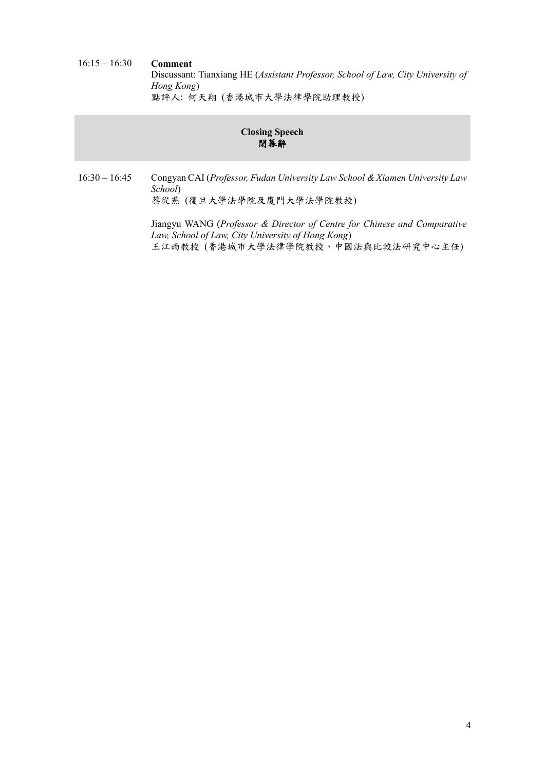### 16:15 – 16:30 **Comment** Discussant: Tianxiang HE (*Assistant Professor, School of Law, City University of Hong Kong*) 點評人: 何天翔 (香港城市大學法律學院助理教授)

# **Closing Speech** 閉幕辭

16:30 – 16:45 Congyan CAI (*Professor, Fudan University Law School & Xiamen University Law School*) 蔡從燕 (復旦大學法學院及廈門大學法學院教授)

> Jiangyu WANG (*Professor & Director of Centre for Chinese and Comparative Law, School of Law, City University of Hong Kong*) 王江雨教授 (香港城市大學法律學院教授、中國法與比較法研究中心主任)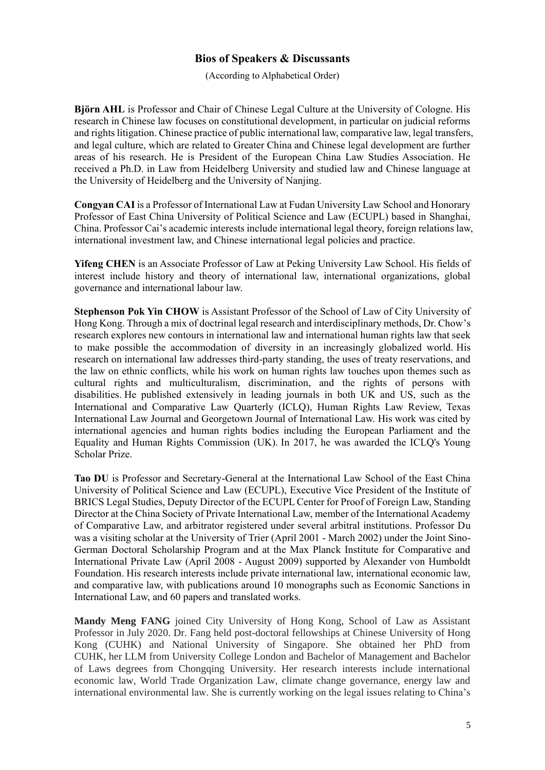# **Bios of Speakers & Discussants**

(According to Alphabetical Order)

**Björn AHL** is Professor and Chair of Chinese Legal Culture at the University of Cologne. His research in Chinese law focuses on constitutional development, in particular on judicial reforms and rights litigation. Chinese practice of public international law, comparative law, legal transfers, and legal culture, which are related to Greater China and Chinese legal development are further areas of his research. He is President of the European China Law Studies Association. He received a Ph.D. in Law from Heidelberg University and studied law and Chinese language at the University of Heidelberg and the University of Nanjing.

**Congyan CAI** is a Professor of International Law at Fudan University Law School and Honorary Professor of East China University of Political Science and Law (ECUPL) based in Shanghai, China. Professor Cai's academic interests include international legal theory, foreign relations law, international investment law, and Chinese international legal policies and practice.

**Yifeng CHEN** is an Associate Professor of Law at Peking University Law School. His fields of interest include history and theory of international law, international organizations, global governance and international labour law.

**Stephenson Pok Yin CHOW** is Assistant Professor of the School of Law of City University of Hong Kong. Through a mix of doctrinal legal research and interdisciplinary methods, Dr. Chow's research explores new contours in international law and international human rights law that seek to make possible the accommodation of diversity in an increasingly globalized world. His research on international law addresses third-party standing, the uses of treaty reservations, and the law on ethnic conflicts, while his work on human rights law touches upon themes such as cultural rights and multiculturalism, discrimination, and the rights of persons with disabilities. He published extensively in leading journals in both UK and US, such as the International and Comparative Law Quarterly (ICLQ), Human Rights Law Review, Texas International Law Journal and Georgetown Journal of International Law. His work was cited by international agencies and human rights bodies including the European Parliament and the Equality and Human Rights Commission (UK). In 2017, he was awarded the ICLQ's Young Scholar Prize.

**Tao DU** is Professor and Secretary-General at the International Law School of the East China University of Political Science and Law (ECUPL), Executive Vice President of the Institute of BRICS Legal Studies, Deputy Director of the ECUPL Center for Proof of Foreign Law, Standing Director at the China Society of Private International Law, member of the International Academy of Comparative Law, and arbitrator registered under several arbitral institutions. Professor Du was a visiting scholar at the University of Trier (April 2001 - March 2002) under the Joint Sino-German Doctoral Scholarship Program and at the Max Planck Institute for Comparative and International Private Law (April 2008 - August 2009) supported by Alexander von Humboldt Foundation. His research interests include private international law, international economic law, and comparative law, with publications around 10 monographs such as Economic Sanctions in International Law, and 60 papers and translated works.

**Mandy Meng FANG** joined City University of Hong Kong, School of Law as Assistant Professor in July 2020. Dr. Fang held post-doctoral fellowships at Chinese University of Hong Kong (CUHK) and National University of Singapore. She obtained her PhD from CUHK, her LLM from University College London and Bachelor of Management and Bachelor of Laws degrees from Chongqing University. Her research interests include international economic law, World Trade Organization Law, climate change governance, energy law and international environmental law. She is currently working on the legal issues relating to China's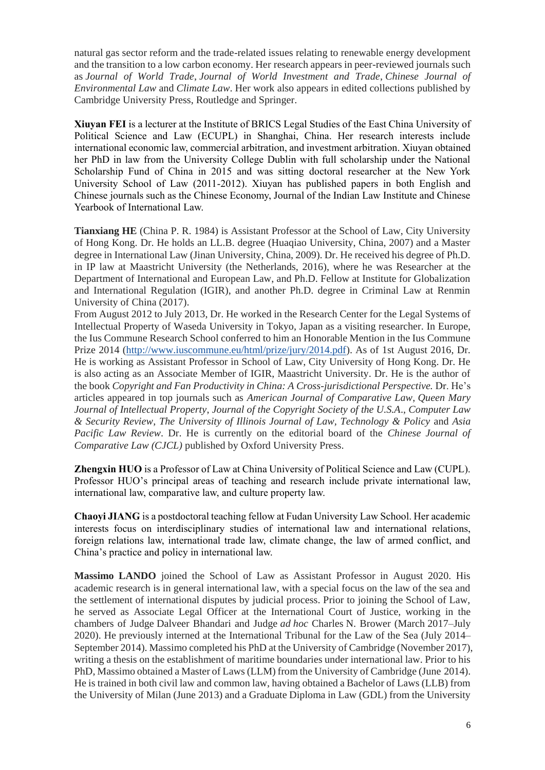natural gas sector reform and the trade-related issues relating to renewable energy development and the transition to a low carbon economy. Her research appears in peer-reviewed journals such as *Journal of World Trade*, *Journal of World Investment and Trade*, *Chinese Journal of Environmental Law* and *Climate Law*. Her work also appears in edited collections published by Cambridge University Press, Routledge and Springer.

**Xiuyan FEI** is a lecturer at the Institute of BRICS Legal Studies of the East China University of Political Science and Law (ECUPL) in Shanghai, China. Her research interests include international economic law, commercial arbitration, and investment arbitration. Xiuyan obtained her PhD in law from the University College Dublin with full scholarship under the National Scholarship Fund of China in 2015 and was sitting doctoral researcher at the New York University School of Law (2011-2012). Xiuyan has published papers in both English and Chinese journals such as the Chinese Economy, Journal of the Indian Law Institute and Chinese Yearbook of International Law.

**Tianxiang HE** (China P. R. 1984) is Assistant Professor at the School of Law, City University of Hong Kong. Dr. He holds an LL.B. degree (Huaqiao University, China, 2007) and a Master degree in International Law (Jinan University, China, 2009). Dr. He received his degree of Ph.D. in IP law at Maastricht University (the Netherlands, 2016), where he was Researcher at the Department of International and European Law, and Ph.D. Fellow at Institute for Globalization and International Regulation (IGIR), and another Ph.D. degree in Criminal Law at Renmin University of China (2017).

From August 2012 to July 2013, Dr. He worked in the Research Center for the Legal Systems of Intellectual Property of Waseda University in Tokyo, Japan as a visiting researcher. In Europe, the Ius Commune Research School conferred to him an Honorable Mention in the Ius Commune Prize 2014 [\(http://www.iuscommune.eu/html/prize/jury/2014.pdf\)](http://www.iuscommune.eu/html/prize/jury/2014.pdf). As of 1st August 2016, Dr. He is working as Assistant Professor in School of Law, City University of Hong Kong. Dr. He is also acting as an Associate Member of IGIR, Maastricht University. Dr. He is the author of the book *Copyright and Fan Productivity in China: A Cross-jurisdictional Perspective.* Dr. He's articles appeared in top journals such as *American Journal of Comparative Law*, *Queen Mary Journal of Intellectual Property*, *Journal of the Copyright Society of the U.S.A*., *Computer Law & Security Review*, *The University of Illinois Journal of Law, Technology & Policy* and *Asia Pacific Law Review*. Dr. He is currently on the editorial board of the *Chinese Journal of Comparative Law (CJCL)* published by Oxford University Press.

**Zhengxin HUO** is a Professor of Law at China University of Political Science and Law (CUPL). Professor HUO's principal areas of teaching and research include private international law, international law, comparative law, and culture property law.

**Chaoyi JIANG** is a postdoctoral teaching fellow at Fudan University Law School. Her academic interests focus on interdisciplinary studies of international law and international relations, foreign relations law, international trade law, climate change, the law of armed conflict, and China's practice and policy in international law.

**Massimo LANDO** joined the School of Law as Assistant Professor in August 2020. His

academic research is in general international law, with a special focus on the law of the sea and the settlement of international disputes by judicial process. Prior to joining the School of Law, he served as Associate Legal Officer at the International Court of Justice, working in the chambers of Judge Dalveer Bhandari and Judge *ad hoc* Charles N. Brower (March 2017–July 2020). He previously interned at the International Tribunal for the Law of the Sea (July 2014– September 2014). Massimo completed his PhD at the University of Cambridge (November 2017), writing a thesis on the establishment of maritime boundaries under international law. Prior to his PhD, Massimo obtained a Master of Laws (LLM) from the University of Cambridge (June 2014). He is trained in both civil law and common law, having obtained a Bachelor of Laws (LLB) from the University of Milan (June 2013) and a Graduate Diploma in Law (GDL) from the University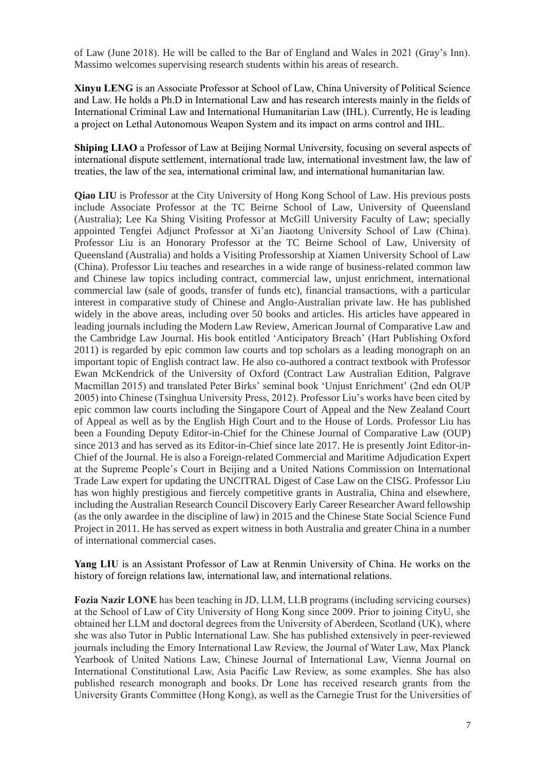of Law (June 2018). He will be called to the Bar of England and Wales in 2021 (Gray's Inn). Massimo welcomes supervising research students within his areas of research.

**Xinyu LENG** is an Associate Professor at School of Law, China University of Political Science and Law. He holds a Ph.D in International Law and has research interests mainly in the fields of International Criminal Law and International Humanitarian Law (IHL). Currently, He is leading a project on Lethal Autonomous Weapon System and its impact on arms control and IHL.

**Shiping LIAO** a Professor of Law at Beijing Normal University, focusing on several aspects of international dispute settlement, international trade law, international investment law, the law of treaties, the law of the sea, international criminal law, and international humanitarian law.

**Qiao LIU** is Professor at the City University of Hong Kong School of Law. His previous posts include Associate Professor at the TC Beirne School of Law, University of Queensland (Australia); Lee Ka Shing Visiting Professor at McGill University Faculty of Law; specially appointed Tengfei Adjunct Professor at Xi'an Jiaotong University School of Law (China). Professor Liu is an Honorary Professor at the TC Beirne School of Law, University of Queensland (Australia) and holds a Visiting Professorship at Xiamen University School of Law (China). Professor Liu teaches and researches in a wide range of business-related common law and Chinese law topics including contract, commercial law, unjust enrichment, international commercial law (sale of goods, transfer of funds etc), financial transactions, with a particular interest in comparative study of Chinese and Anglo-Australian private law. He has published widely in the above areas, including over 50 books and articles. His articles have appeared in leading journals including the Modern Law Review, American Journal of Comparative Law and the Cambridge Law Journal. His book entitled 'Anticipatory Breach' (Hart Publishing Oxford 2011) is regarded by epic common law courts and top scholars as a leading monograph on an important topic of English contract law. He also co-authored a contract textbook with Professor Ewan McKendrick of the University of Oxford (Contract Law Australian Edition, Palgrave Macmillan 2015) and translated Peter Birks' seminal book 'Unjust Enrichment' (2nd edn OUP 2005) into Chinese (Tsinghua University Press, 2012). Professor Liu's works have been cited by epic common law courts including the Singapore Court of Appeal and the New Zealand Court of Appeal as well as by the English High Court and to the House of Lords. Professor Liu has been a Founding Deputy Editor-in-Chief for the Chinese Journal of Comparative Law (OUP) since 2013 and has served as its Editor-in-Chief since late 2017. He is presently Joint Editor-in-Chief of the Journal. He is also a Foreign-related Commercial and Maritime Adjudication Expert at the Supreme People's Court in Beijing and a United Nations Commission on International Trade Law expert for updating the UNCITRAL Digest of Case Law on the CISG. Professor Liu has won highly prestigious and fiercely competitive grants in Australia, China and elsewhere, including the Australian Research Council Discovery Early Career Researcher Award fellowship (as the only awardee in the discipline of law) in 2015 and the Chinese State Social Science Fund Project in 2011. He has served as expert witness in both Australia and greater China in a number of international commercial cases.

**Yang LIU** is an Assistant Professor of Law at Renmin University of China. He works on the history of foreign relations law, international law, and international relations.

**Fozia Nazir LONE** has been teaching in JD, LLM, LLB programs (including servicing courses) at the School of Law of City University of Hong Kong since 2009. Prior to joining CityU, she obtained her LLM and doctoral degrees from the University of Aberdeen, Scotland (UK), where she was also Tutor in Public International Law. She has published extensively in peer-reviewed journals including the Emory International Law Review, the Journal of Water Law, Max Planck Yearbook of United Nations Law, Chinese Journal of International Law, Vienna Journal on International Constitutional Law, Asia Pacific Law Review, as some examples. She has also published research monograph and books. Dr Lone has received research grants from the University Grants Committee (Hong Kong), as well as the Carnegie Trust for the Universities of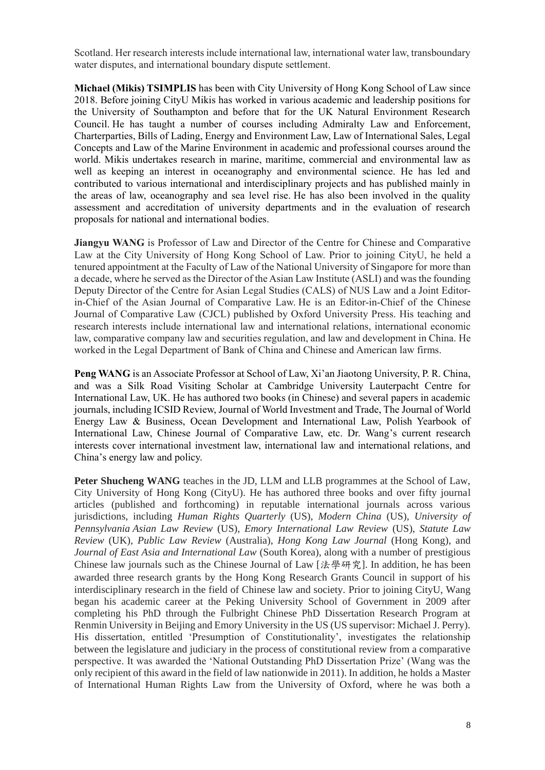Scotland. Her research interests include international law, international water law, transboundary water disputes, and international boundary dispute settlement.

**Michael (Mikis) TSIMPLIS** has been with City University of Hong Kong School of Law since 2018. Before joining CityU Mikis has worked in various academic and leadership positions for the University of Southampton and before that for the UK Natural Environment Research Council. He has taught a number of courses including Admiralty Law and Enforcement, Charterparties, Bills of Lading, Energy and Environment Law, Law of International Sales, Legal Concepts and Law of the Marine Environment in academic and professional courses around the world. Mikis undertakes research in marine, maritime, commercial and environmental law as well as keeping an interest in oceanography and environmental science. He has led and contributed to various international and interdisciplinary projects and has published mainly in the areas of law, oceanography and sea level rise. He has also been involved in the quality assessment and accreditation of university departments and in the evaluation of research proposals for national and international bodies.

**Jiangyu WANG** is Professor of Law and Director of the Centre for Chinese and Comparative Law at the City University of Hong Kong School of Law. Prior to joining CityU, he held a tenured appointment at the Faculty of Law of the National University of Singapore for more than a decade, where he served as the Director of the Asian Law Institute (ASLI) and was the founding Deputy Director of the Centre for Asian Legal Studies (CALS) of NUS Law and a Joint Editorin-Chief of the Asian Journal of Comparative Law. He is an Editor-in-Chief of the Chinese Journal of Comparative Law (CJCL) published by Oxford University Press. His teaching and research interests include international law and international relations, international economic law, comparative company law and securities regulation, and law and development in China. He worked in the Legal Department of Bank of China and Chinese and American law firms.

**Peter Shucheng WANG** teaches in the JD, LLM and LLB programmes at the School of Law, City University of Hong Kong (CityU). He has authored three books and over fifty journal articles (published and forthcoming) in reputable international journals across various jurisdictions, including *Human Rights Quarterly* (US), *Modern China* (US), *University of Pennsylvania Asian Law Review* (US), *Emory International Law Review* (US), *Statute Law Review* (UK), *Public Law Review* (Australia), *Hong Kong Law Journal* (Hong Kong), and *Journal of East Asia and International Law* (South Korea), along with a number of prestigious Chinese law journals such as the Chinese Journal of Law [法學研究]. In addition, he has been awarded three research grants by the Hong Kong Research Grants Council in support of his interdisciplinary research in the field of Chinese law and society. Prior to joining CityU, Wang began his academic career at the Peking University School of Government in 2009 after completing his PhD through the Fulbright Chinese PhD Dissertation Research Program at Renmin University in Beijing and Emory University in the US (US supervisor: Michael J. Perry). His dissertation, entitled 'Presumption of Constitutionality', investigates the relationship between the legislature and judiciary in the process of constitutional review from a comparative perspective. It was awarded the 'National Outstanding PhD Dissertation Prize' (Wang was the only recipient of this award in the field of law nationwide in 2011). In addition, he holds a Master of International Human Rights Law from the University of Oxford, where he was both a

**Peng WANG** is an Associate Professor at School of Law, Xi'an Jiaotong University, P. R. China, and was a Silk Road Visiting Scholar at Cambridge University Lauterpacht Centre for International Law, UK. He has authored two books (in Chinese) and several papers in academic journals, including ICSID Review, Journal of World Investment and Trade, The Journal of World Energy Law & Business, Ocean Development and International Law, Polish Yearbook of International Law, Chinese Journal of Comparative Law, etc. Dr. Wang's current research interests cover international investment law, international law and international relations, and China's energy law and policy.